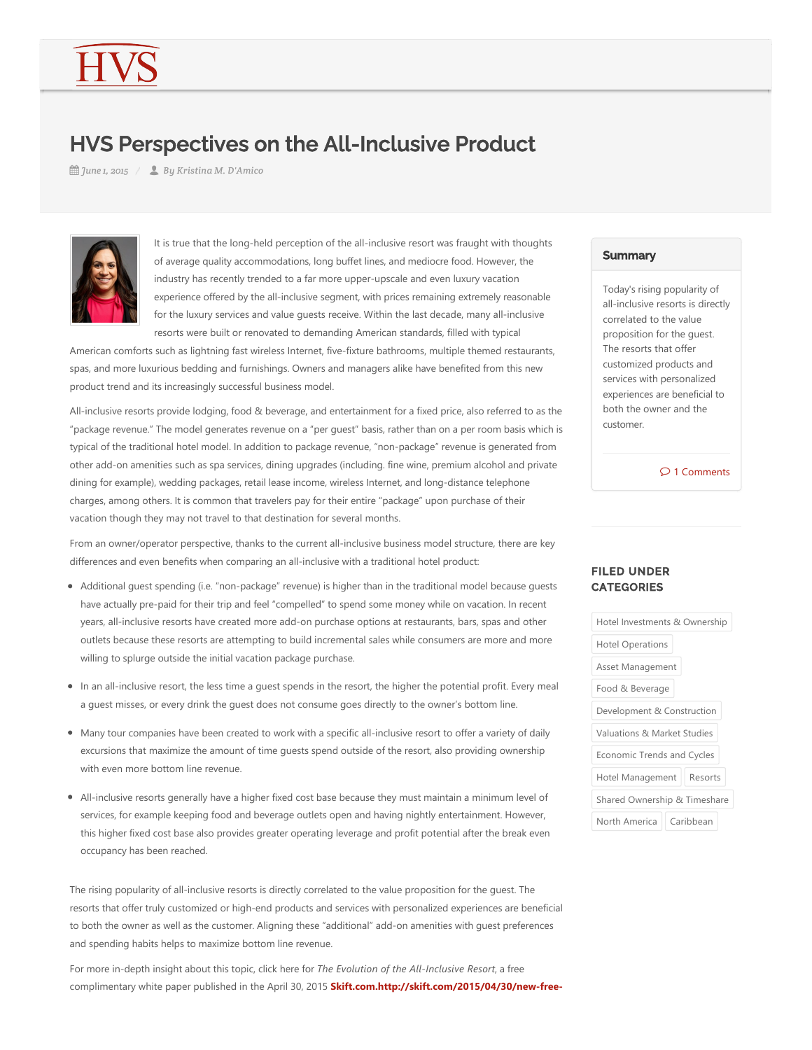# HVS Perspectives on the All-Inclusive Product

*June 1, 2015 By Kristina M. D'Amico*



It is true that the long-held perception of the all-inclusive resort was fraught with thoughts of average quality accommodations, long buffet lines, and mediocre food. However, the industry has recently trended to a far more upper‐upscale and even luxury vacation experience offered by the all-inclusive segment, with prices remaining extremely reasonable for the luxury services and value quests receive. Within the last decade, many all-inclusive resorts were built or renovated to demanding American standards, filled with typical

American comforts such as lightning fast wireless Internet, five‐fixture bathrooms, multiple themed restaurants, spas, and more luxurious bedding and furnishings. Owners and managers alike have benefited from this new product trend and its increasingly successful business model.

All-inclusive resorts provide lodging, food & beverage, and entertainment for a fixed price, also referred to as the "package revenue." The model generates revenue on a "per guest" basis, rather than on a per room basis which is typical of the traditional hotel model. In addition to package revenue, "non‐package" revenue is generated from other add-on amenities such as spa services, dining upgrades (including. fine wine, premium alcohol and private dining for example), wedding packages, retail lease income, wireless Internet, and long-distance telephone charges, among others. It is common that travelers pay for their entire "package" upon purchase of their vacation though they may not travel to that destination for several months.

From an owner/operator perspective, thanks to the current all‐inclusive business model structure, there are key differences and even benefits when comparing an all‐inclusive with a traditional hotel product:

- Additional quest spending (i.e. "non-package" revenue) is higher than in the traditional model because quests have actually pre-paid for their trip and feel "compelled" to spend some money while on vacation. In recent years, all‐inclusive resorts have created more add‐on purchase options at restaurants, bars, spas and other outlets because these resorts are attempting to build incremental sales while consumers are more and more willing to splurge outside the initial vacation package purchase.
- In an all-inclusive resort, the less time a guest spends in the resort, the higher the potential profit. Every meal a guest misses, or every drink the guest does not consume goes directly to the owner's bottom line.
- Many tour companies have been created to work with a specific all‐inclusive resort to offer a variety of daily excursions that maximize the amount of time guests spend outside of the resort, also providing ownership with even more bottom line revenue.
- All-inclusive resorts generally have a higher fixed cost base because they must maintain a minimum level of services, for example keeping food and beverage outlets open and having nightly entertainment. However, this higher fixed cost base also provides greater operating leverage and profit potential after the break even occupancy has been reached.

The rising popularity of all-inclusive resorts is directly correlated to the value proposition for the guest. The resorts that offer truly customized or high‐end products and services with personalized experiences are beneficial to both the owner as well as the customer. Aligning these "additional" add‐on amenities with guest preferences and spending habits helps to maximize bottom line revenue.

For more in‐depth insight about this topic, click here for *The Evolution of the All‐Inclusive Resort*, a free complimentary white paper published in the April 30, 2015 **Skift.com.http://skift.com/2015/04/30/new‐free‐**

### **Summary**

Today's rising popularity of all‐inclusive resorts is directly correlated to the value proposition for the guest. The resorts that offer customized products and services with personalized experiences are beneficial to both the owner and the customer.

 $\mathcal{D}$  1 Comments

# FILED UNDER **CATEGORIES**